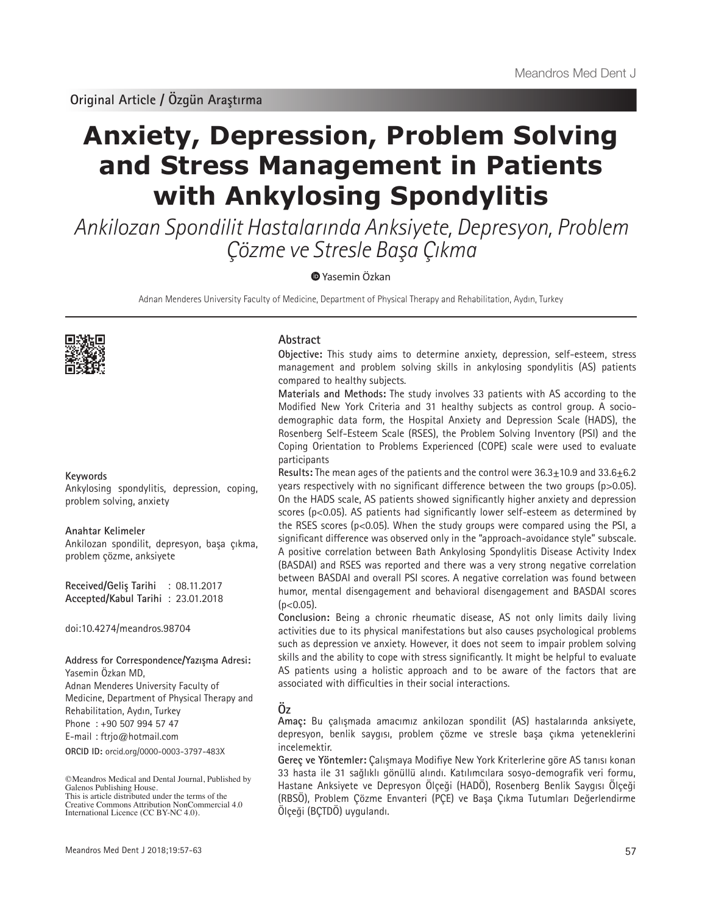# **Anxiety, Depression, Problem Solving and Stress Management in Patients with Ankylosing Spondylitis**

Ankilozan Spondilit Hastalarında Anksiyete, Depresyon, Problem Çözme ve Stresle Başa Çıkma

Yasemin Özkan

Adnan Menderes University Faculty of Medicine, Department of Physical Therapy and Rehabilitation, Aydın, Turkey



## **Keywords**

Ankylosing spondylitis, depression, coping, problem solving, anxiety

#### **Anahtar Kelimeler**

Ankilozan spondilit, depresyon, başa çıkma, problem çözme, anksiyete

**Received/Geliş Tarihi** : 08.11.2017 **Accepted/Kabul Tarihi** : 23.01.2018

doi:10.4274/meandros.98704

**Address for Correspondence/Yazışma Adresi:** Yasemin Özkan MD, Adnan Menderes University Faculty of Medicine, Department of Physical Therapy and Rehabilitation, Aydın, Turkey

Phone : +90 507 994 57 47

E-mail : ftrjo@hotmail.com

**ORCID ID:** orcid.org/0000-0003-3797-483X

# **Abstract**

**Objective:** This study aims to determine anxiety, depression, self-esteem, stress management and problem solving skills in ankylosing spondylitis (AS) patients compared to healthy subjects.

**Materials and Methods:** The study involves 33 patients with AS according to the Modified New York Criteria and 31 healthy subjects as control group. A sociodemographic data form, the Hospital Anxiety and Depression Scale (HADS), the Rosenberg Self-Esteem Scale (RSES), the Problem Solving Inventory (PSI) and the Coping Orientation to Problems Experienced (COPE) scale were used to evaluate participants

**Results:** The mean ages of the patients and the control were 36.3±10.9 and 33.6±6.2 years respectively with no significant difference between the two groups (p>0.05). On the HADS scale, AS patients showed significantly higher anxiety and depression scores (p<0.05). AS patients had significantly lower self-esteem as determined by the RSES scores ( $p$ <0.05). When the study groups were compared using the PSI, a significant difference was observed only in the "approach-avoidance style" subscale. A positive correlation between Bath Ankylosing Spondylitis Disease Activity Index (BASDAI) and RSES was reported and there was a very strong negative correlation between BASDAI and overall PSI scores. A negative correlation was found between humor, mental disengagement and behavioral disengagement and BASDAI scores  $(p<0.05)$ .

**Conclusion:** Being a chronic rheumatic disease, AS not only limits daily living activities due to its physical manifestations but also causes psychological problems such as depression ve anxiety. However, it does not seem to impair problem solving skills and the ability to cope with stress significantly. It might be helpful to evaluate AS patients using a holistic approach and to be aware of the factors that are associated with difficulties in their social interactions.

# **Öz**

**Amaç:** Bu çalışmada amacımız ankilozan spondilit (AS) hastalarında anksiyete, depresyon, benlik saygısı, problem çözme ve stresle başa çıkma yeteneklerini incelemektir.

**Gereç ve Yöntemler:** Çalışmaya Modifiye New York Kriterlerine göre AS tanısı konan 33 hasta ile 31 sağlıklı gönüllü alındı. Katılımcılara sosyo-demografik veri formu, Hastane Anksiyete ve Depresyon Ölçeği (HADÖ), Rosenberg Benlik Saygısı Ölçeği (RBSÖ), Problem Çözme Envanteri (PÇE) ve Başa Çıkma Tutumları Değerlendirme Ölçeği (BÇTDÖ) uygulandı.

<sup>©</sup>Meandros Medical and Dental Journal, Published by Galenos Publishing House. This is article distributed under the terms of the

Creative Commons Attribution NonCommercial 4.0 International Licence (CC BY-NC 4.0).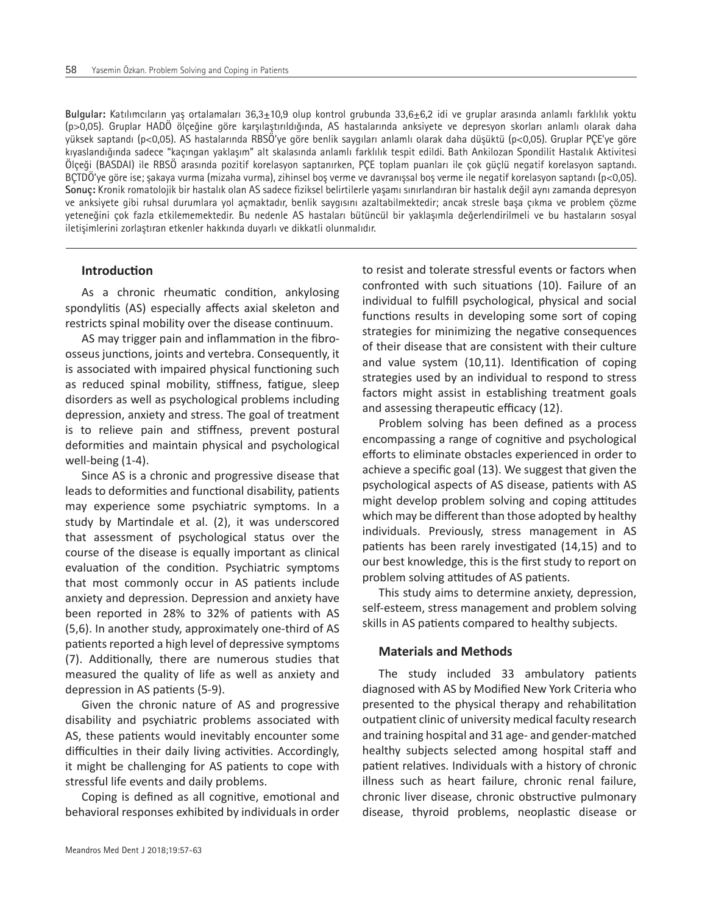**Bulgular:** Katılımcıların yaş ortalamaları 36,3±10,9 olup kontrol grubunda 33,6±6,2 idi ve gruplar arasında anlamlı farklılık yoktu (p>0,05). Gruplar HADÖ ölçeğine göre karşılaştırıldığında, AS hastalarında anksiyete ve depresyon skorları anlamlı olarak daha yüksek saptandı (p<0,05). AS hastalarında RBSÖ'ye göre benlik saygıları anlamlı olarak daha düşüktü (p<0,05). Gruplar PÇE'ye göre kıyaslandığında sadece "kaçıngan yaklaşım" alt skalasında anlamlı farklılık tespit edildi. Bath Ankilozan Spondilit Hastalık Aktivitesi Ölçeği (BASDAI) ile RBSÖ arasında pozitif korelasyon saptanırken, PÇE toplam puanları ile çok güçlü negatif korelasyon saptandı. BÇTDÖ'ye göre ise; şakaya vurma (mizaha vurma), zihinsel boş verme ve davranışsal boş verme ile negatif korelasyon saptandı (p<0,05). **Sonuç:** Kronik romatolojik bir hastalık olan AS sadece fiziksel belirtilerle yaşamı sınırlandıran bir hastalık değil aynı zamanda depresyon ve anksiyete gibi ruhsal durumlara yol açmaktadır, benlik saygısını azaltabilmektedir; ancak stresle başa çıkma ve problem çözme yeteneğini çok fazla etkilememektedir. Bu nedenle AS hastaları bütüncül bir yaklaşımla değerlendirilmeli ve bu hastaların sosyal iletişimlerini zorlaştıran etkenler hakkında duyarlı ve dikkatli olunmalıdır.

# **Introduction**

As a chronic rheumatic condition, ankylosing spondylitis (AS) especially affects axial skeleton and restricts spinal mobility over the disease continuum.

AS may trigger pain and inflammation in the fibroosseus junctions, joints and vertebra. Consequently, it is associated with impaired physical functioning such as reduced spinal mobility, stiffness, fatigue, sleep disorders as well as psychological problems including depression, anxiety and stress. The goal of treatment is to relieve pain and stiffness, prevent postural deformities and maintain physical and psychological well-being (1-4).

Since AS is a chronic and progressive disease that leads to deformities and functional disability, patients may experience some psychiatric symptoms. In a study by Martindale et al. (2), it was underscored that assessment of psychological status over the course of the disease is equally important as clinical evaluation of the condition. Psychiatric symptoms that most commonly occur in AS patients include anxiety and depression. Depression and anxiety have been reported in 28% to 32% of patients with AS (5,6). In another study, approximately one-third of AS patients reported a high level of depressive symptoms (7). Additionally, there are numerous studies that measured the quality of life as well as anxiety and depression in AS patients (5-9).

Given the chronic nature of AS and progressive disability and psychiatric problems associated with AS, these patients would inevitably encounter some difficulties in their daily living activities. Accordingly, it might be challenging for AS patients to cope with stressful life events and daily problems.

Coping is defined as all cognitive, emotional and behavioral responses exhibited by individuals in order to resist and tolerate stressful events or factors when confronted with such situations (10). Failure of an individual to fulfill psychological, physical and social functions results in developing some sort of coping strategies for minimizing the negative consequences of their disease that are consistent with their culture and value system (10,11). Identification of coping strategies used by an individual to respond to stress factors might assist in establishing treatment goals and assessing therapeutic efficacy (12).

Problem solving has been defined as a process encompassing a range of cognitive and psychological efforts to eliminate obstacles experienced in order to achieve a specific goal (13). We suggest that given the psychological aspects of AS disease, patients with AS might develop problem solving and coping attitudes which may be different than those adopted by healthy individuals. Previously, stress management in AS patients has been rarely investigated (14,15) and to our best knowledge, this is the first study to report on problem solving attitudes of AS patients.

This study aims to determine anxiety, depression, self-esteem, stress management and problem solving skills in AS patients compared to healthy subjects.

#### **Materials and Methods**

The study included 33 ambulatory patients diagnosed with AS by Modified New York Criteria who presented to the physical therapy and rehabilitation outpatient clinic of university medical faculty research and training hospital and 31 age- and gender-matched healthy subjects selected among hospital staff and patient relatives. Individuals with a history of chronic illness such as heart failure, chronic renal failure, chronic liver disease, chronic obstructive pulmonary disease, thyroid problems, neoplastic disease or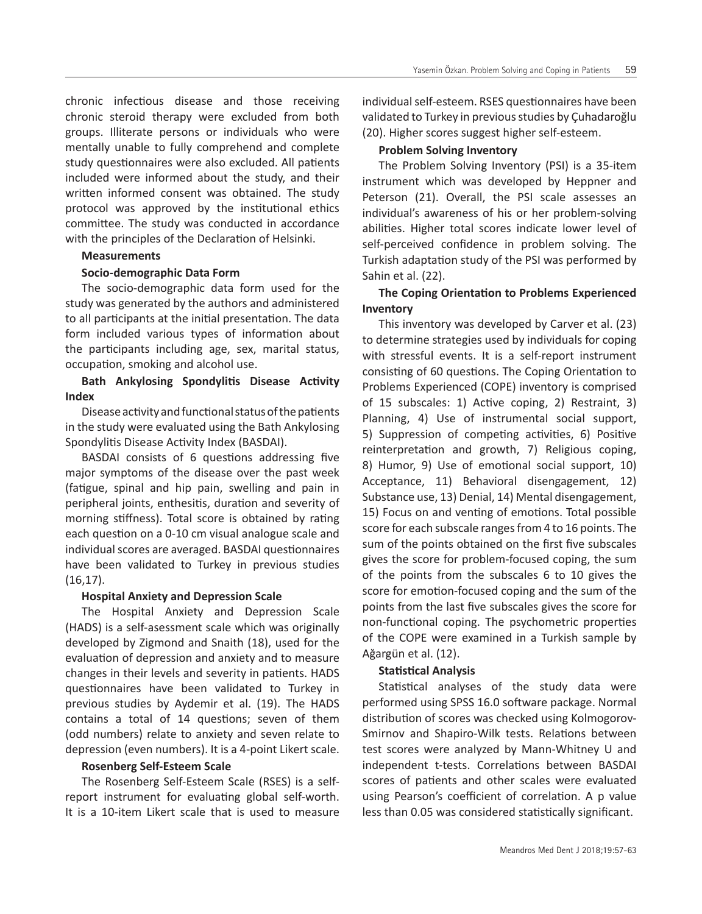chronic infectious disease and those receiving chronic steroid therapy were excluded from both groups. Illiterate persons or individuals who were mentally unable to fully comprehend and complete study questionnaires were also excluded. All patients included were informed about the study, and their written informed consent was obtained. The study protocol was approved by the institutional ethics committee. The study was conducted in accordance with the principles of the Declaration of Helsinki.

## **Measurements**

#### **Socio-demographic Data Form**

The socio-demographic data form used for the study was generated by the authors and administered to all participants at the initial presentation. The data form included various types of information about the participants including age, sex, marital status, occupation, smoking and alcohol use.

# **Bath Ankylosing Spondylitis Disease Activity Index**

Disease activity and functional status of the patients in the study were evaluated using the Bath Ankylosing Spondylitis Disease Activity Index (BASDAI).

BASDAI consists of 6 questions addressing five major symptoms of the disease over the past week (fatigue, spinal and hip pain, swelling and pain in peripheral joints, enthesitis, duration and severity of morning stiffness). Total score is obtained by rating each question on a 0-10 cm visual analogue scale and individual scores are averaged. BASDAI questionnaires have been validated to Turkey in previous studies (16,17).

#### **Hospital Anxiety and Depression Scale**

The Hospital Anxiety and Depression Scale (HADS) is a self-asessment scale which was originally developed by Zigmond and Snaith (18), used for the evaluation of depression and anxiety and to measure changes in their levels and severity in patients. HADS questionnaires have been validated to Turkey in previous studies by Aydemir et al. (19). The HADS contains a total of 14 questions; seven of them (odd numbers) relate to anxiety and seven relate to depression (even numbers). It is a 4-point Likert scale.

# **Rosenberg Self-Esteem Scale**

The Rosenberg Self-Esteem Scale (RSES) is a selfreport instrument for evaluating global self-worth. It is a 10-item Likert scale that is used to measure

individual self-esteem. RSES questionnaires have been validated to Turkey in previous studies by Çuhadaroğlu (20). Higher scores suggest higher self-esteem.

# **Problem Solving Inventory**

The Problem Solving Inventory (PSI) is a 35-item instrument which was developed by Heppner and Peterson (21). Overall, the PSI scale assesses an individual's awareness of his or her problem-solving abilities. Higher total scores indicate lower level of self-perceived confidence in problem solving. The Turkish adaptation study of the PSI was performed by Sahin et al. (22).

# **The Coping Orientation to Problems Experienced Inventory**

This inventory was developed by Carver et al. (23) to determine strategies used by individuals for coping with stressful events. It is a self-report instrument consisting of 60 questions. The Coping Orientation to Problems Experienced (COPE) inventory is comprised of 15 subscales: 1) Active coping, 2) Restraint, 3) Planning, 4) Use of instrumental social support, 5) Suppression of competing activities, 6) Positive reinterpretation and growth, 7) Religious coping, 8) Humor, 9) Use of emotional social support, 10) Acceptance, 11) Behavioral disengagement, 12) Substance use, 13) Denial, 14) Mental disengagement, 15) Focus on and venting of emotions. Total possible score for each subscale ranges from 4 to 16 points. The sum of the points obtained on the first five subscales gives the score for problem-focused coping, the sum of the points from the subscales 6 to 10 gives the score for emotion-focused coping and the sum of the points from the last five subscales gives the score for non-functional coping. The psychometric properties of the COPE were examined in a Turkish sample by Ağargün et al. (12).

#### **Statistical Analysis**

Statistical analyses of the study data were performed using SPSS 16.0 software package. Normal distribution of scores was checked using Kolmogorov-Smirnov and Shapiro-Wilk tests. Relations between test scores were analyzed by Mann-Whitney U and independent t-tests. Correlations between BASDAI scores of patients and other scales were evaluated using Pearson's coefficient of correlation. A p value less than 0.05 was considered statistically significant.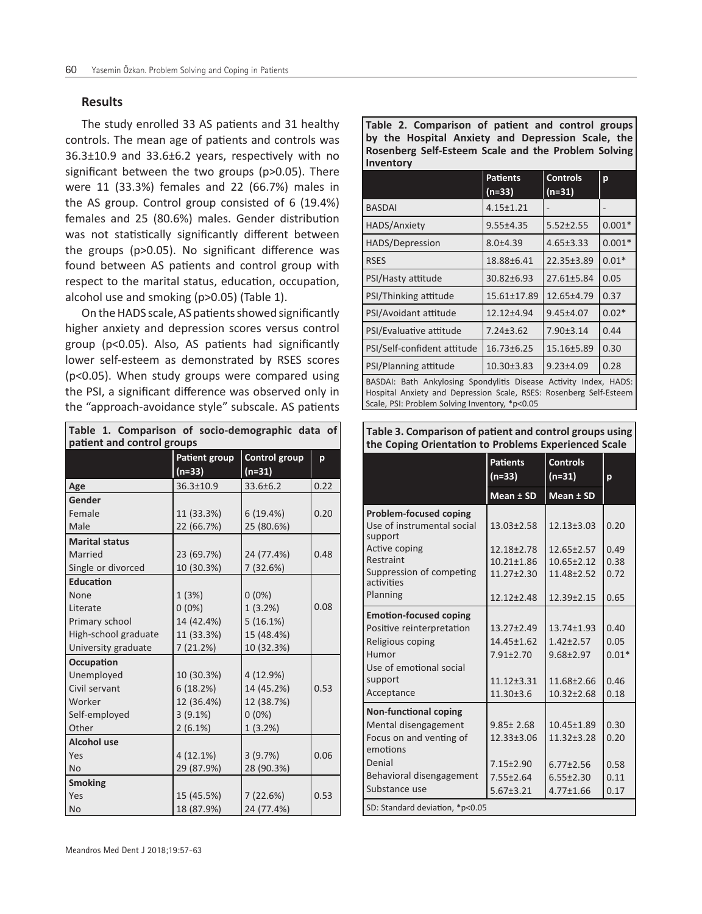# **Results**

The study enrolled 33 AS patients and 31 healthy controls. The mean age of patients and controls was 36.3±10.9 and 33.6±6.2 years, respectively with no significant between the two groups (p>0.05). There were 11 (33.3%) females and 22 (66.7%) males in the AS group. Control group consisted of 6 (19.4%) females and 25 (80.6%) males. Gender distribution was not statistically significantly different between the groups (p>0.05). No significant difference was found between AS patients and control group with respect to the marital status, education, occupation, alcohol use and smoking (p>0.05) (Table 1).

On the HADS scale, AS patients showed significantly higher anxiety and depression scores versus control group (p<0.05). Also, AS patients had significantly lower self-esteem as demonstrated by RSES scores (p<0.05). When study groups were compared using the PSI, a significant difference was observed only in the "approach-avoidance style" subscale. AS patients

| Table 1. Comparison of socio-demographic data of<br>patient and control groups |                      |                      |      |  |
|--------------------------------------------------------------------------------|----------------------|----------------------|------|--|
|                                                                                | <b>Patient group</b> | <b>Control group</b> | p    |  |
|                                                                                | (n=33)               | $(n=31)$             |      |  |
| Age                                                                            | 36.3±10.9            | 33.6±6.2             | 0.22 |  |
| Gender                                                                         |                      |                      |      |  |
| Female                                                                         | 11 (33.3%)           | 6(19.4%)             | 0.20 |  |
| Male                                                                           | 22 (66.7%)           | 25 (80.6%)           |      |  |
| <b>Marital status</b>                                                          |                      |                      |      |  |
| Married                                                                        | 23 (69.7%)           | 24 (77.4%)           | 0.48 |  |
| Single or divorced                                                             | 10 (30.3%)           | 7 (32.6%)            |      |  |
| <b>Education</b>                                                               |                      |                      |      |  |
| <b>None</b>                                                                    | 1(3%)                | $0(0\%)$             |      |  |
| Literate                                                                       | $0(0\%)$             | 1(3.2%)              | 0.08 |  |
| Primary school                                                                 | 14 (42.4%)           | 5(16.1%)             |      |  |
| High-school graduate                                                           | 11 (33.3%)           | 15 (48.4%)           |      |  |
| University graduate                                                            | 7 (21.2%)            | 10 (32.3%)           |      |  |
| Occupation                                                                     |                      |                      |      |  |
| Unemployed                                                                     | 10 (30.3%)           | 4 (12.9%)            |      |  |
| Civil servant                                                                  | 6(18.2%)             | 14 (45.2%)           | 0.53 |  |
| Worker                                                                         | 12 (36.4%)           | 12 (38.7%)           |      |  |
| Self-employed                                                                  | 3(9.1%)              | $0(0\%)$             |      |  |
| Other                                                                          | 2(6.1%)              | 1(3.2%)              |      |  |
| <b>Alcohol use</b>                                                             |                      |                      |      |  |
| Yes                                                                            | 4(12.1%)             | 3(9.7%)              | 0.06 |  |
| <b>No</b>                                                                      | 29 (87.9%)           | 28 (90.3%)           |      |  |
| <b>Smoking</b>                                                                 |                      |                      |      |  |
| Yes                                                                            | 15 (45.5%)           | 7(22.6%)             | 0.53 |  |
| <b>No</b>                                                                      | 18 (87.9%)           | 24 (77.4%)           |      |  |

**Table 2. Comparison of patient and control groups by the Hospital Anxiety and Depression Scale, the Rosenberg Self-Esteem Scale and the Problem Solving Inventory**

|                                                                                                                                                                                           | <b>Patients</b><br>$(n=33)$ | <b>Controls</b><br>(n=31)    | p        |  |
|-------------------------------------------------------------------------------------------------------------------------------------------------------------------------------------------|-----------------------------|------------------------------|----------|--|
| <b>BASDAI</b>                                                                                                                                                                             | $4.15 \pm 1.21$             | $\qquad \qquad \blacksquare$ |          |  |
| HADS/Anxiety                                                                                                                                                                              | $9.55 \pm 4.35$             | $5.52 \pm 2.55$              | $0.001*$ |  |
| HADS/Depression                                                                                                                                                                           | $8.0 + 4.39$                | $4.65 \pm 3.33$              | $0.001*$ |  |
| <b>RSES</b>                                                                                                                                                                               | 18.88±6.41                  | 22.35±3.89                   | $0.01*$  |  |
| PSI/Hasty attitude                                                                                                                                                                        | 30.82±6.93                  | 27.61+5.84                   | 0.05     |  |
| PSI/Thinking attitude                                                                                                                                                                     | 15.61±17.89                 | 12.65±4.79                   | 0.37     |  |
| PSI/Avoidant attitude                                                                                                                                                                     | 12.12+4.94                  | $9.45 \pm 4.07$              | $0.02*$  |  |
| PSI/Evaluative attitude                                                                                                                                                                   | $7.24 \pm 3.62$             | $7.90 \pm 3.14$              | 0.44     |  |
| PSI/Self-confident attitude                                                                                                                                                               | 16.73±6.25                  | 15.16±5.89                   | 0.30     |  |
| <b>PSI/Planning attitude</b>                                                                                                                                                              | 10.30±3.83                  | $9.23 \pm 4.09$              | 0.28     |  |
| BASDAI: Bath Ankylosing Spondylitis Disease Activity Index, HADS:<br>Hospital Anxiety and Depression Scale, RSES: Rosenberg Self-Esteem<br>Scale, PSI: Problem Solving Inventory, *p<0.05 |                             |                              |          |  |

#### **Table 3. Comparison of patient and control groups using the Coping Orientation to Problems Experienced Scale**

|                                        | <b>Patients</b><br>$(n=33)$ | <b>Controls</b><br>$(n=31)$ | p       |  |
|----------------------------------------|-----------------------------|-----------------------------|---------|--|
|                                        | Mean $±$ SD                 | Mean ± SD                   |         |  |
| <b>Problem-focused coping</b>          |                             |                             |         |  |
| Use of instrumental social<br>support  | $13.03 \pm 2.58$            | $12.13 \pm 3.03$            | 0.20    |  |
| Active coping                          | 12.18 ± 2.78                | $12.65 \pm 2.57$            | 0.49    |  |
| Restraint                              | $10.21 \pm 1.86$            | $10.65 \pm 2.12$            | 0.38    |  |
| Suppression of competing<br>activities | $11.27 \pm 2.30$            | 11.48±2.52                  | 0.72    |  |
| Planning                               | $12.12+2.48$                | 12.39+2.15                  | 0.65    |  |
| <b>Emotion-focused coping</b>          |                             |                             |         |  |
| Positive reinterpretation              | $13.27 \pm 2.49$            | 13.74±1.93                  | 0.40    |  |
| Religious coping                       | 14.45±1.62                  | $1.42 \pm 2.57$             | 0.05    |  |
| Humor                                  | $7.91 \pm 2.70$             | $9.68 \pm 2.97$             | $0.01*$ |  |
| Use of emotional social                |                             |                             |         |  |
| support                                | $11.12 + 3.31$              | 11.68±2.66                  | 0.46    |  |
| Acceptance                             | $11.30 + 3.6$               | $10.32 \pm 2.68$            | 0.18    |  |
| <b>Non-functional coping</b>           |                             |                             |         |  |
| Mental disengagement                   | $9.85 \pm 2.68$             | 10.45±1.89                  | 0.30    |  |
| Focus on and venting of<br>emotions    | $12.33 \pm 3.06$            | $11.32 + 3.28$              | 0.20    |  |
| Denial                                 | $7.15 \pm 2.90$             | $6.77 \pm 2.56$             | 0.58    |  |
| Behavioral disengagement               | 7.55±2.64                   | $6.55 \pm 2.30$             | 0.11    |  |
| Substance use                          | $5.67 \pm 3.21$             | $4.77 \pm 1.66$             | 0.17    |  |
| SD: Standard deviation, *p<0.05        |                             |                             |         |  |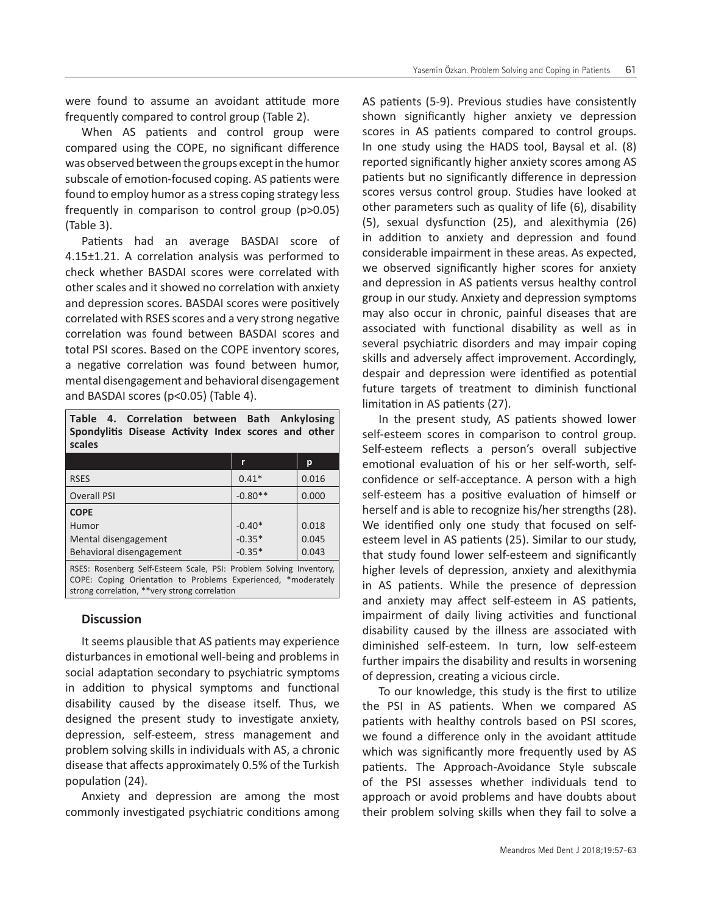were found to assume an avoidant attitude more frequently compared to control group (Table 2).

When AS patients and control group were compared using the COPE, no significant difference was observed between the groups except in the humor subscale of emotion-focused coping. AS patients were found to employ humor as a stress coping strategy less frequently in comparison to control group (p>0.05) (Table 3).

Patients had an average BASDAI score of 4.15±1.21. A correlation analysis was performed to check whether BASDAI scores were correlated with other scales and it showed no correlation with anxiety and depression scores. BASDAI scores were positively correlated with RSES scores and a very strong negative correlation was found between BASDAI scores and total PSI scores. Based on the COPE inventory scores, a negative correlation was found between humor, mental disengagement and behavioral disengagement and BASDAI scores (p<0.05) (Table 4).

| Table 4. Correlation between Bath Ankylosing        |  |  |  |
|-----------------------------------------------------|--|--|--|
| Spondylitis Disease Activity Index scores and other |  |  |  |
| scales                                              |  |  |  |

|                                                                                                                                                                                      |           | р     |  |
|--------------------------------------------------------------------------------------------------------------------------------------------------------------------------------------|-----------|-------|--|
| <b>RSES</b>                                                                                                                                                                          | $0.41*$   | 0.016 |  |
| <b>Overall PSI</b>                                                                                                                                                                   | $-0.80**$ | 0.000 |  |
| <b>COPE</b>                                                                                                                                                                          |           |       |  |
| Humor                                                                                                                                                                                | $-0.40*$  | 0.018 |  |
| Mental disengagement                                                                                                                                                                 | $-0.35*$  | 0.045 |  |
| Behavioral disengagement                                                                                                                                                             | $-0.35*$  | 0.043 |  |
| RSES: Rosenberg Self-Esteem Scale, PSI: Problem Solving Inventory,<br>COPE: Coping Orientation to Problems Experienced, *moderately<br>strong correlation, **very strong correlation |           |       |  |

# **Discussion**

It seems plausible that AS patients may experience disturbances in emotional well-being and problems in social adaptation secondary to psychiatric symptoms in addition to physical symptoms and functional disability caused by the disease itself. Thus, we designed the present study to investigate anxiety, depression, self-esteem, stress management and problem solving skills in individuals with AS, a chronic disease that affects approximately 0.5% of the Turkish population (24).

Anxiety and depression are among the most commonly investigated psychiatric conditions among

AS patients (5-9). Previous studies have consistently shown significantly higher anxiety ve depression scores in AS patients compared to control groups. In one study using the HADS tool, Baysal et al. (8) reported significantly higher anxiety scores among AS patients but no significantly difference in depression scores versus control group. Studies have looked at other parameters such as quality of life (6), disability (5), sexual dysfunction (25), and alexithymia (26) in addition to anxiety and depression and found considerable impairment in these areas. As expected, we observed significantly higher scores for anxiety and depression in AS patients versus healthy control group in our study. Anxiety and depression symptoms may also occur in chronic, painful diseases that are associated with functional disability as well as in several psychiatric disorders and may impair coping skills and adversely affect improvement. Accordingly, despair and depression were identified as potential future targets of treatment to diminish functional limitation in AS patients (27).

In the present study, AS patients showed lower self-esteem scores in comparison to control group. Self-esteem reflects a person's overall subjective emotional evaluation of his or her self-worth, selfconfidence or self-acceptance. A person with a high self-esteem has a positive evaluation of himself or herself and is able to recognize his/her strengths (28). We identified only one study that focused on selfesteem level in AS patients (25). Similar to our study, that study found lower self-esteem and significantly higher levels of depression, anxiety and alexithymia in AS patients. While the presence of depression and anxiety may affect self-esteem in AS patients, impairment of daily living activities and functional disability caused by the illness are associated with diminished self-esteem. In turn, low self-esteem further impairs the disability and results in worsening of depression, creating a vicious circle.

To our knowledge, this study is the first to utilize the PSI in AS patients. When we compared AS patients with healthy controls based on PSI scores, we found a difference only in the avoidant attitude which was significantly more frequently used by AS patients. The Approach-Avoidance Style subscale of the PSI assesses whether individuals tend to approach or avoid problems and have doubts about their problem solving skills when they fail to solve a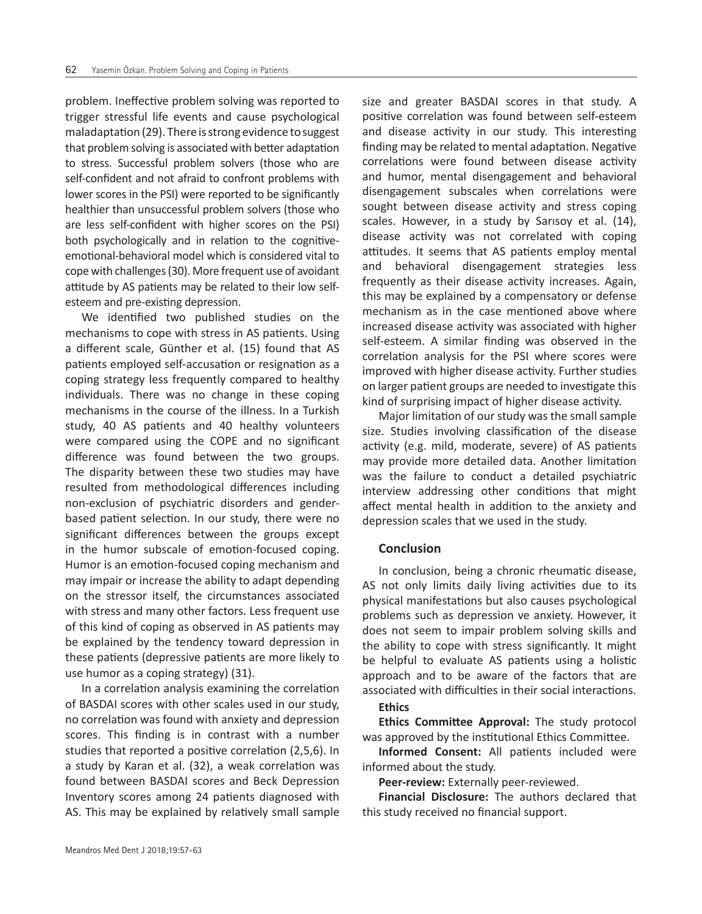problem. Ineffective problem solving was reported to trigger stressful life events and cause psychological maladaptation (29). There is strong evidence to suggest that problem solving is associated with better adaptation to stress. Successful problem solvers (those who are self-confident and not afraid to confront problems with lower scores in the PSI) were reported to be significantly healthier than unsuccessful problem solvers (those who are less self-confident with higher scores on the PSI) both psychologically and in relation to the cognitiveemotional-behavioral model which is considered vital to cope with challenges (30). More frequent use of avoidant attitude by AS patients may be related to their low selfesteem and pre-existing depression.

We identified two published studies on the mechanisms to cope with stress in AS patients. Using a different scale, Günther et al. (15) found that AS patients employed self-accusation or resignation as a coping strategy less frequently compared to healthy individuals. There was no change in these coping mechanisms in the course of the illness. In a Turkish study, 40 AS patients and 40 healthy volunteers were compared using the COPE and no significant difference was found between the two groups. The disparity between these two studies may have resulted from methodological differences including non-exclusion of psychiatric disorders and genderbased patient selection. In our study, there were no significant differences between the groups except in the humor subscale of emotion-focused coping. Humor is an emotion-focused coping mechanism and may impair or increase the ability to adapt depending on the stressor itself, the circumstances associated with stress and many other factors. Less frequent use of this kind of coping as observed in AS patients may be explained by the tendency toward depression in these patients (depressive patients are more likely to use humor as a coping strategy) (31).

In a correlation analysis examining the correlation of BASDAI scores with other scales used in our study, no correlation was found with anxiety and depression scores. This finding is in contrast with a number studies that reported a positive correlation (2,5,6). In a study by Karan et al. (32), a weak correlation was found between BASDAI scores and Beck Depression Inventory scores among 24 patients diagnosed with AS. This may be explained by relatively small sample size and greater BASDAI scores in that study. A positive correlation was found between self-esteem and disease activity in our study. This interesting finding may be related to mental adaptation. Negative correlations were found between disease activity and humor, mental disengagement and behavioral disengagement subscales when correlations were sought between disease activity and stress coping scales. However, in a study by Sarısoy et al. (14), disease activity was not correlated with coping attitudes. It seems that AS patients employ mental and behavioral disengagement strategies less frequently as their disease activity increases. Again, this may be explained by a compensatory or defense mechanism as in the case mentioned above where increased disease activity was associated with higher self-esteem. A similar finding was observed in the correlation analysis for the PSI where scores were improved with higher disease activity. Further studies on larger patient groups are needed to investigate this kind of surprising impact of higher disease activity.

Major limitation of our study was the small sample size. Studies involving classification of the disease activity (e.g. mild, moderate, severe) of AS patients may provide more detailed data. Another limitation was the failure to conduct a detailed psychiatric interview addressing other conditions that might affect mental health in addition to the anxiety and depression scales that we used in the study.

# **Conclusion**

In conclusion, being a chronic rheumatic disease, AS not only limits daily living activities due to its physical manifestations but also causes psychological problems such as depression ve anxiety. However, it does not seem to impair problem solving skills and the ability to cope with stress significantly. It might be helpful to evaluate AS patients using a holistic approach and to be aware of the factors that are associated with difficulties in their social interactions. **Ethics** 

**Ethics Committee Approval:** The study protocol was approved by the institutional Ethics Committee.

**Informed Consent:** All patients included were informed about the study.

**Peer-review:** Externally peer-reviewed.

**Financial Disclosure:** The authors declared that this study received no financial support.